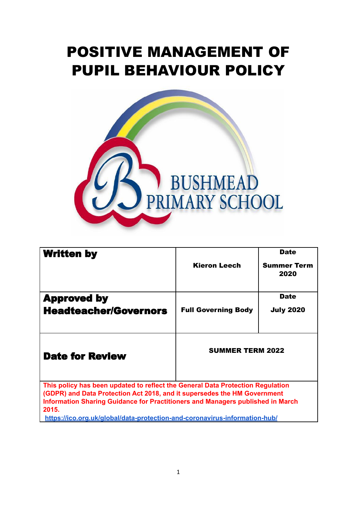# POSITIVE MANAGEMENT OF PUPIL BEHAVIOUR POLICY



| <b>Written by</b>                                                                                                                                                                                                                                     |                            | <b>Date</b>                |
|-------------------------------------------------------------------------------------------------------------------------------------------------------------------------------------------------------------------------------------------------------|----------------------------|----------------------------|
|                                                                                                                                                                                                                                                       | <b>Kieron Leech</b>        | <b>Summer Term</b><br>2020 |
| <b>Approved by</b>                                                                                                                                                                                                                                    |                            | <b>Date</b>                |
| <b>Headteacher/Governors</b>                                                                                                                                                                                                                          | <b>Full Governing Body</b> | <b>July 2020</b>           |
| <b>Date for Review</b>                                                                                                                                                                                                                                | <b>SUMMER TERM 2022</b>    |                            |
| This policy has been updated to reflect the General Data Protection Regulation<br>(GDPR) and Data Protection Act 2018, and it supersedes the HM Government<br>Information Sharing Guidance for Practitioners and Managers published in March<br>2015. |                            |                            |

**<https://ico.org.uk/global/data-protection-and-coronavirus-information-hub/>**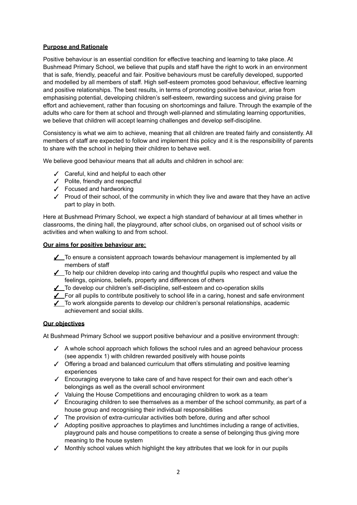#### **Purpose and Rationale**

Positive behaviour is an essential condition for effective teaching and learning to take place. At Bushmead Primary School, we believe that pupils and staff have the right to work in an environment that is safe, friendly, peaceful and fair. Positive behaviours must be carefully developed, supported and modelled by all members of staff. High self-esteem promotes good behaviour, effective learning and positive relationships. The best results, in terms of promoting positive behaviour, arise from emphasising potential, developing children's self-esteem, rewarding success and giving praise for effort and achievement, rather than focusing on shortcomings and failure. Through the example of the adults who care for them at school and through well-planned and stimulating learning opportunities, we believe that children will accept learning challenges and develop self-discipline.

Consistency is what we aim to achieve, meaning that all children are treated fairly and consistently. All members of staff are expected to follow and implement this policy and it is the responsibility of parents to share with the school in helping their children to behave well.

We believe good behaviour means that all adults and children in school are:

- ✓ Careful, kind and helpful to each other
- ✓ Polite, friendly and respectful
- ✓ Focused and hardworking
- ✓ Proud of their school, of the community in which they live and aware that they have an active part to play in both.

Here at Bushmead Primary School, we expect a high standard of behaviour at all times whether in classrooms, the dining hall, the playground, after school clubs, on organised out of school visits or activities and when walking to and from school.

#### **Our aims for positive behaviour are:**

- ✓ To ensure a consistent approach towards behaviour management is implemented by all members of staff
- ✓ To help our children develop into caring and thoughtful pupils who respect and value the feelings, opinions, beliefs, property and differences of others
- ✓ To develop our children's self-discipline, self-esteem and co-operation skills
- ✓ For all pupils to contribute positively to school life in a caring, honest and safe environment
- ✓ To work alongside parents to develop our children's personal relationships, academic achievement and social skills.

#### **Our objectives**

At Bushmead Primary School we support positive behaviour and a positive environment through:

- ✓ A whole school approach which follows the school rules and an agreed behaviour process (see appendix 1) with children rewarded positively with house points
- ✓ Offering a broad and balanced curriculum that offers stimulating and positive learning experiences
- ✓ Encouraging everyone to take care of and have respect for their own and each other's belongings as well as the overall school environment
- ✓ Valuing the House Competitions and encouraging children to work as a team
- $\checkmark$  Encouraging children to see themselves as a member of the school community, as part of a house group and recognising their individual responsibilities
- ✓ The provision of extra-curricular activities both before, during and after school
- ✓ Adopting positive approaches to playtimes and lunchtimes including a range of activities, playground pals and house competitions to create a sense of belonging thus giving more meaning to the house system
- $\checkmark$  Monthly school values which highlight the key attributes that we look for in our pupils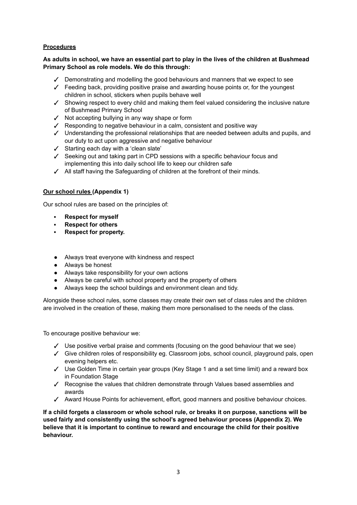#### **Procedures**

#### As adults in school, we have an essential part to play in the lives of the children at Bushmead **Primary School as role models. We do this through:**

- $\checkmark$  Demonstrating and modelling the good behaviours and manners that we expect to see
- $\checkmark$  Feeding back, providing positive praise and awarding house points or, for the youngest children in school, stickers when pupils behave well
- ✓ Showing respect to every child and making them feel valued considering the inclusive nature of Bushmead Primary School
- ✓ Not accepting bullying in any way shape or form
- ✓ Responding to negative behaviour in a calm, consistent and positive way
- ✓ Understanding the professional relationships that are needed between adults and pupils, and our duty to act upon aggressive and negative behaviour
- ✓ Starting each day with a 'clean slate'
- ✓ Seeking out and taking part in CPD sessions with a specific behaviour focus and implementing this into daily school life to keep our children safe
- ✓ All staff having the Safeguarding of children at the forefront of their minds.

#### **Our school rules (Appendix 1)**

Our school rules are based on the principles of:

- **Respect for myself**
- **Respect for others**
- **Respect for property.**
- Always treat everyone with kindness and respect
- Always be honest
- Always take responsibility for your own actions
- Always be careful with school property and the property of others
- Always keep the school buildings and environment clean and tidy.

Alongside these school rules, some classes may create their own set of class rules and the children are involved in the creation of these, making them more personalised to the needs of the class.

To encourage positive behaviour we:

- $\checkmark$  Use positive verbal praise and comments (focusing on the good behaviour that we see)
- ✓ Give children roles of responsibility eg. Classroom jobs, school council, playground pals, open evening helpers etc.
- ✓ Use Golden Time in certain year groups (Key Stage 1 and a set time limit) and a reward box in Foundation Stage
- ✓ Recognise the values that children demonstrate through Values based assemblies and awards
- ✓ Award House Points for achievement, effort, good manners and positive behaviour choices.

**If a child forgets a classroom or whole school rule, or breaks it on purpose, sanctions will be used fairly and consistently using the school's agreed behaviour process (Appendix 2). We believe that it is important to continue to reward and encourage the child for their positive behaviour.**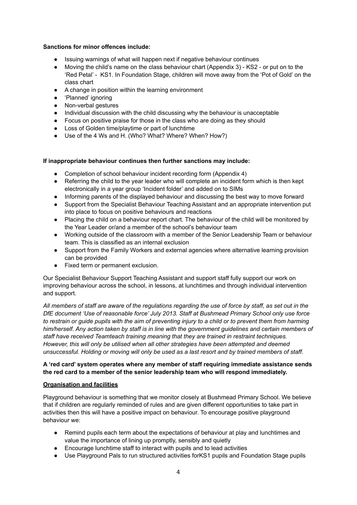#### **Sanctions for minor offences include:**

- Issuing warnings of what will happen next if negative behaviour continues
- Moving the child's name on the class behaviour chart (Appendix 3) KS2 or put on to the 'Red Petal' - KS1. In Foundation Stage, children will move away from the 'Pot of Gold' on the class chart
- A change in position within the learning environment
- 'Planned' ignoring
- Non-verbal gestures
- Individual discussion with the child discussing why the behaviour is unacceptable
- Focus on positive praise for those in the class who are doing as they should
- Loss of Golden time/playtime or part of lunchtime
- Use of the 4 Ws and H. (Who? What? Where? When? How?)

#### **If inappropriate behaviour continues then further sanctions may include:**

- Completion of school behaviour incident recording form (Appendix 4)
- Referring the child to the year leader who will complete an incident form which is then kept electronically in a year group 'Incident folder' and added on to SIMs
- Informing parents of the displayed behaviour and discussing the best way to move forward
- Support from the Specialist Behaviour Teaching Assistant and an appropriate intervention put into place to focus on positive behaviours and reactions
- Placing the child on a behaviour report chart. The behaviour of the child will be monitored by the Year Leader or/and a member of the school's behaviour team
- Working outside of the classroom with a member of the Senior Leadership Team or behaviour team. This is classified as an internal exclusion
- Support from the Family Workers and external agencies where alternative learning provision can be provided
- Fixed term or permanent exclusion.

Our Specialist Behaviour Support Teaching Assistant and support staff fully support our work on improving behaviour across the school, in lessons, at lunchtimes and through individual intervention and support.

All members of staff are aware of the regulations regarding the use of force by staff, as set out in the *DfE document 'Use of reasonable force' July 2013. Staff at Bushmead Primary School only use force* to restrain or quide pupils with the aim of preventing injury to a child or to prevent them from harming *him/herself. Any action taken by staff is in line with the government guidelines and certain members of staff have received Teamteach training meaning that they are trained in restraint techniques. However, this will only be utilised when all other strategies have been attempted and deemed* unsuccessful. Holding or moving will only be used as a last resort and by trained members of staff.

#### **A 'red card' system operates where any member of staff requiring immediate assistance sends the red card to a member of the senior leadership team who will respond immediately.**

#### **Organisation and facilities**

Playground behaviour is something that we monitor closely at Bushmead Primary School. We believe that if children are regularly reminded of rules and are given different opportunities to take part in activities then this will have a positive impact on behaviour. To encourage positive playground behaviour we:

- Remind pupils each term about the expectations of behaviour at play and lunchtimes and value the importance of lining up promptly, sensibly and quietly
- Encourage lunchtime staff to interact with pupils and to lead activities
- Use Playground Pals to run structured activities forKS1 pupils and Foundation Stage pupils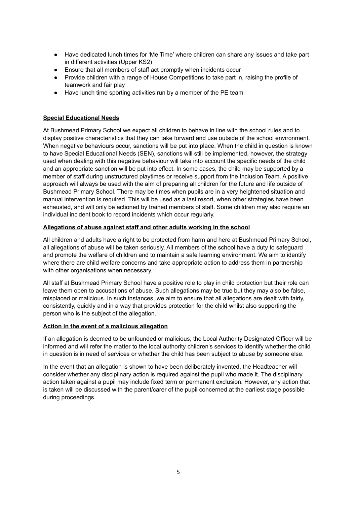- Have dedicated lunch times for 'Me Time' where children can share any issues and take part in different activities (Upper KS2)
- Ensure that all members of staff act promptly when incidents occur
- Provide children with a range of House Competitions to take part in, raising the profile of teamwork and fair play
- Have lunch time sporting activities run by a member of the PE team

#### **Special Educational Needs**

At Bushmead Primary School we expect all children to behave in line with the school rules and to display positive characteristics that they can take forward and use outside of the school environment. When negative behaviours occur, sanctions will be put into place. When the child in question is known to have Special Educational Needs (SEN), sanctions will still be implemented, however, the strategy used when dealing with this negative behaviour will take into account the specific needs of the child and an appropriate sanction will be put into effect. In some cases, the child may be supported by a member of staff during unstructured playtimes or receive support from the Inclusion Team. A positive approach will always be used with the aim of preparing all children for the future and life outside of Bushmead Primary School. There may be times when pupils are in a very heightened situation and manual intervention is required. This will be used as a last resort, when other strategies have been exhausted, and will only be actioned by trained members of staff. Some children may also require an individual incident book to record incidents which occur regularly.

#### **Allegations of abuse against staff and other adults working in the school**

All children and adults have a right to be protected from harm and here at Bushmead Primary School, all allegations of abuse will be taken seriously. All members of the school have a duty to safeguard and promote the welfare of children and to maintain a safe learning environment. We aim to identify where there are child welfare concerns and take appropriate action to address them in partnership with other organisations when necessary.

All staff at Bushmead Primary School have a positive role to play in child protection but their role can leave them open to accusations of abuse. Such allegations may be true but they may also be false, misplaced or malicious. In such instances, we aim to ensure that all allegations are dealt with fairly, consistently, quickly and in a way that provides protection for the child whilst also supporting the person who is the subject of the allegation.

#### **Action in the event of a malicious allegation**

If an allegation is deemed to be unfounded or malicious, the Local Authority Designated Officer will be informed and will refer the matter to the local authority children's services to identify whether the child in question is in need of services or whether the child has been subject to abuse by someone else.

In the event that an allegation is shown to have been deliberately invented, the Headteacher will consider whether any disciplinary action is required against the pupil who made it. The disciplinary action taken against a pupil may include fixed term or permanent exclusion. However, any action that is taken will be discussed with the parent/carer of the pupil concerned at the earliest stage possible during proceedings.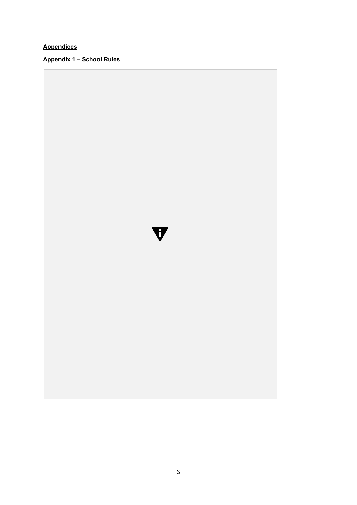## **Appendices**

**Appendix 1 – School Rules**

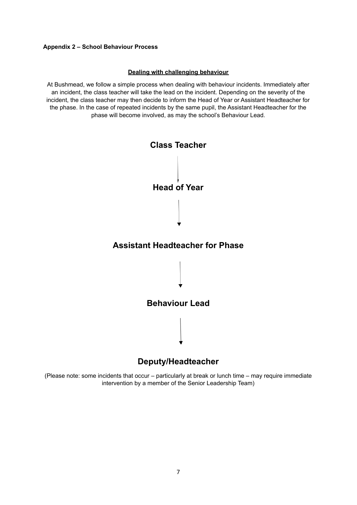#### **Appendix 2 – School Behaviour Process**

#### **Dealing with challenging behaviour**

At Bushmead, we follow a simple process when dealing with behaviour incidents. Immediately after an incident, the class teacher will take the lead on the incident. Depending on the severity of the incident, the class teacher may then decide to inform the Head of Year or Assistant Headteacher for the phase. In the case of repeated incidents by the same pupil, the Assistant Headteacher for the phase will become involved, as may the school's Behaviour Lead.



## **Deputy/Headteacher**

(Please note: some incidents that occur – particularly at break or lunch time – may require immediate intervention by a member of the Senior Leadership Team)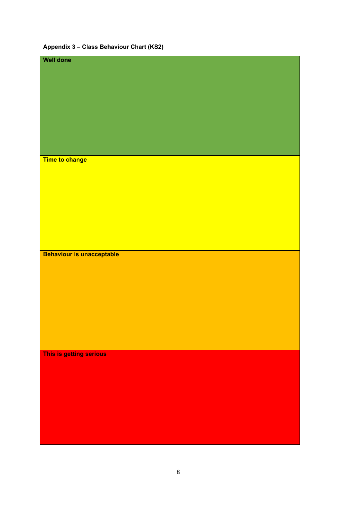## **Appendix 3 – Class Behaviour Chart (KS2)**

| Time to change                   |  |
|----------------------------------|--|
|                                  |  |
|                                  |  |
|                                  |  |
|                                  |  |
|                                  |  |
|                                  |  |
|                                  |  |
|                                  |  |
|                                  |  |
| <b>Behaviour is unacceptable</b> |  |
|                                  |  |
|                                  |  |
|                                  |  |
|                                  |  |
|                                  |  |
|                                  |  |
|                                  |  |
|                                  |  |
|                                  |  |
|                                  |  |
|                                  |  |
| This is getting serious          |  |
|                                  |  |
|                                  |  |
|                                  |  |
|                                  |  |
|                                  |  |
|                                  |  |
|                                  |  |
|                                  |  |
|                                  |  |